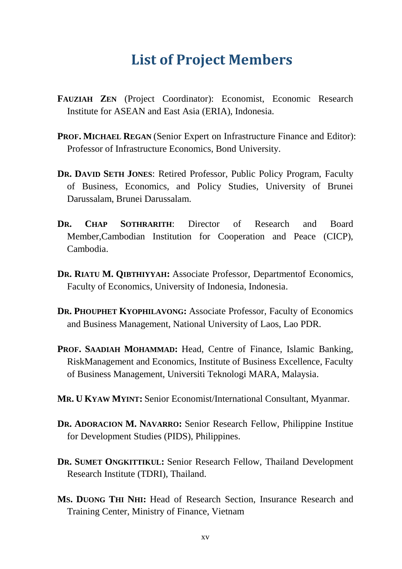## **List of Project Members**

- **FAUZIAH ZEN** (Project Coordinator): Economist, Economic Research Institute for ASEAN and East Asia (ERIA), Indonesia.
- **PROF. MICHAEL REGAN** (Senior Expert on Infrastructure Finance and Editor): Professor of Infrastructure Economics, Bond University.
- **DR. DAVID SETH JONES**: Retired Professor, Public Policy Program, Faculty of Business, Economics, and Policy Studies, University of Brunei Darussalam, Brunei Darussalam.
- **DR. CHAP SOTHRARITH**: Director of Research and Board Member,Cambodian Institution for Cooperation and Peace (CICP), Cambodia.
- **DR. RIATU M. QIBTHIYYAH:** Associate Professor, Departmentof Economics, Faculty of Economics, University of Indonesia, Indonesia.
- **DR. PHOUPHET KYOPHILAVONG:** Associate Professor, Faculty of Economics and Business Management, National University of Laos, Lao PDR.
- **PROF. SAADIAH MOHAMMAD:** Head, Centre of Finance, Islamic Banking, RiskManagement and Economics, Institute of Business Excellence, Faculty of Business Management, Universiti Teknologi MARA, Malaysia.
- **MR. U KYAW MYINT:** Senior Economist/International Consultant, Myanmar.
- **DR. ADORACION M. NAVARRO:** Senior Research Fellow, Philippine Institue for Development Studies (PIDS), Philippines.
- **DR. SUMET ONGKITTIKUL:** Senior Research Fellow, Thailand Development Research Institute (TDRI), Thailand.
- **MS. DUONG THI NHI:** Head of Research Section, Insurance Research and Training Center, Ministry of Finance, Vietnam